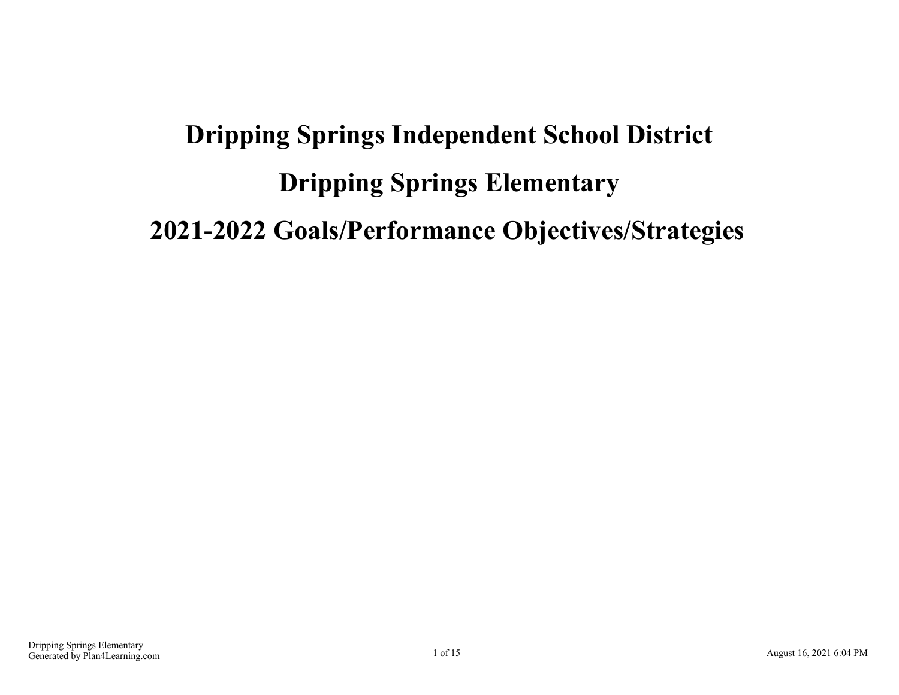# **Dripping Springs Independent School District Dripping Springs Elementary 2021-2022 Goals/Performance Objectives/Strategies**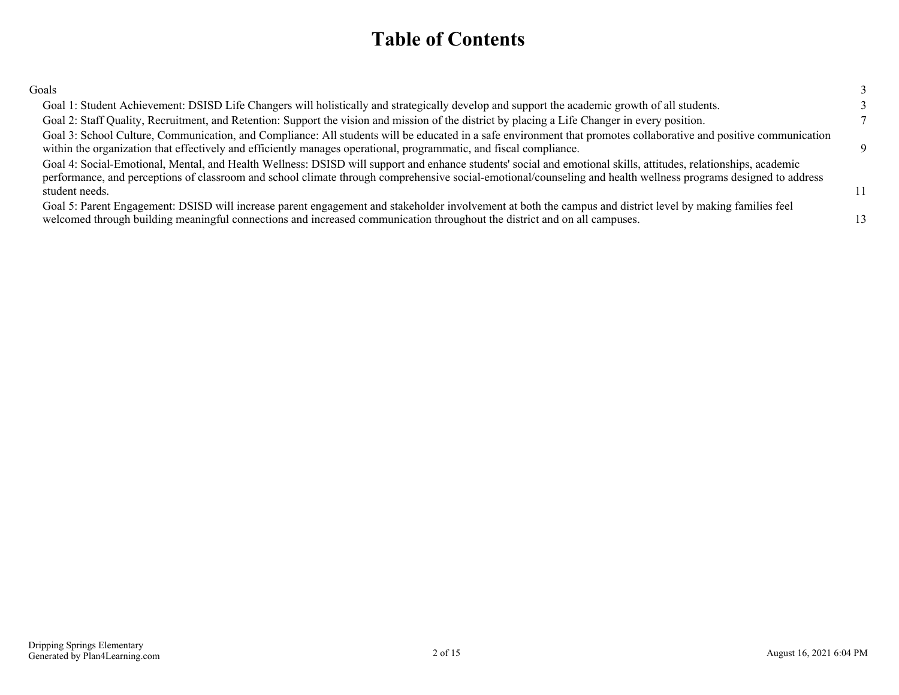### **Table of Contents**

| Goals                                                                                                                                                                                                                                                                                                                                                |          |
|------------------------------------------------------------------------------------------------------------------------------------------------------------------------------------------------------------------------------------------------------------------------------------------------------------------------------------------------------|----------|
| Goal 1: Student Achievement: DSISD Life Changers will holistically and strategically develop and support the academic growth of all students.                                                                                                                                                                                                        |          |
| Goal 2: Staff Quality, Recruitment, and Retention: Support the vision and mission of the district by placing a Life Changer in every position.                                                                                                                                                                                                       |          |
| Goal 3: School Culture, Communication, and Compliance: All students will be educated in a safe environment that promotes collaborative and positive communication<br>within the organization that effectively and efficiently manages operational, programmatic, and fiscal compliance.                                                              | $\Omega$ |
| Goal 4: Social-Emotional, Mental, and Health Wellness: DSISD will support and enhance students' social and emotional skills, attitudes, relationships, academic<br>performance, and perceptions of classroom and school climate through comprehensive social-emotional/counseling and health wellness programs designed to address<br>student needs. | 11       |
| Goal 5: Parent Engagement: DSISD will increase parent engagement and stakeholder involvement at both the campus and district level by making families feel<br>welcomed through building meaningful connections and increased communication throughout the district and on all campuses.                                                              |          |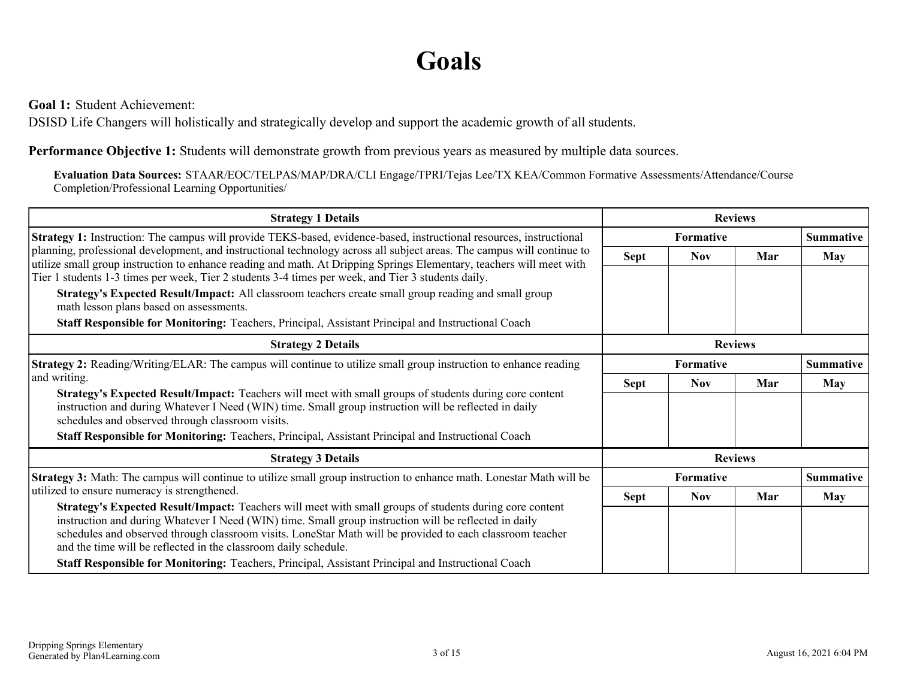## **Goals**

<span id="page-2-0"></span>**Goal 1:** Student Achievement:

DSISD Life Changers will holistically and strategically develop and support the academic growth of all students.

**Performance Objective 1:** Students will demonstrate growth from previous years as measured by multiple data sources.

**Evaluation Data Sources:** STAAR/EOC/TELPAS/MAP/DRA/CLI Engage/TPRI/Tejas Lee/TX KEA/Common Formative Assessments/Attendance/Course Completion/Professional Learning Opportunities/

| <b>Strategy 1 Details</b>                                                                                                                                                                                                                                                                                                                                                                                                                                                                              | <b>Reviews</b> |                  |     |                  |
|--------------------------------------------------------------------------------------------------------------------------------------------------------------------------------------------------------------------------------------------------------------------------------------------------------------------------------------------------------------------------------------------------------------------------------------------------------------------------------------------------------|----------------|------------------|-----|------------------|
| Strategy 1: Instruction: The campus will provide TEKS-based, evidence-based, instructional resources, instructional                                                                                                                                                                                                                                                                                                                                                                                    |                | <b>Formative</b> |     | <b>Summative</b> |
| planning, professional development, and instructional technology across all subject areas. The campus will continue to<br>utilize small group instruction to enhance reading and math. At Dripping Springs Elementary, teachers will meet with<br>Tier 1 students 1-3 times per week, Tier 2 students 3-4 times per week, and Tier 3 students daily.                                                                                                                                                   | <b>Sept</b>    | <b>Nov</b>       | Mar | <b>May</b>       |
| Strategy's Expected Result/Impact: All classroom teachers create small group reading and small group<br>math lesson plans based on assessments.                                                                                                                                                                                                                                                                                                                                                        |                |                  |     |                  |
| Staff Responsible for Monitoring: Teachers, Principal, Assistant Principal and Instructional Coach                                                                                                                                                                                                                                                                                                                                                                                                     |                |                  |     |                  |
| <b>Strategy 2 Details</b>                                                                                                                                                                                                                                                                                                                                                                                                                                                                              |                | <b>Reviews</b>   |     |                  |
| Strategy 2: Reading/Writing/ELAR: The campus will continue to utilize small group instruction to enhance reading                                                                                                                                                                                                                                                                                                                                                                                       | Formative      |                  |     | <b>Summative</b> |
| and writing.                                                                                                                                                                                                                                                                                                                                                                                                                                                                                           | <b>Sept</b>    | <b>Nov</b>       | Mar | <b>May</b>       |
| Strategy's Expected Result/Impact: Teachers will meet with small groups of students during core content<br>instruction and during Whatever I Need (WIN) time. Small group instruction will be reflected in daily<br>schedules and observed through classroom visits.                                                                                                                                                                                                                                   |                |                  |     |                  |
| Staff Responsible for Monitoring: Teachers, Principal, Assistant Principal and Instructional Coach                                                                                                                                                                                                                                                                                                                                                                                                     |                |                  |     |                  |
| <b>Strategy 3 Details</b>                                                                                                                                                                                                                                                                                                                                                                                                                                                                              |                | <b>Reviews</b>   |     |                  |
| Strategy 3: Math: The campus will continue to utilize small group instruction to enhance math. Lonestar Math will be                                                                                                                                                                                                                                                                                                                                                                                   |                | Formative        |     | <b>Summative</b> |
| utilized to ensure numeracy is strengthened.                                                                                                                                                                                                                                                                                                                                                                                                                                                           | <b>Sept</b>    | <b>Nov</b>       | Mar | <b>May</b>       |
| Strategy's Expected Result/Impact: Teachers will meet with small groups of students during core content<br>instruction and during Whatever I Need (WIN) time. Small group instruction will be reflected in daily<br>schedules and observed through classroom visits. LoneStar Math will be provided to each classroom teacher<br>and the time will be reflected in the classroom daily schedule.<br>Staff Responsible for Monitoring: Teachers, Principal, Assistant Principal and Instructional Coach |                |                  |     |                  |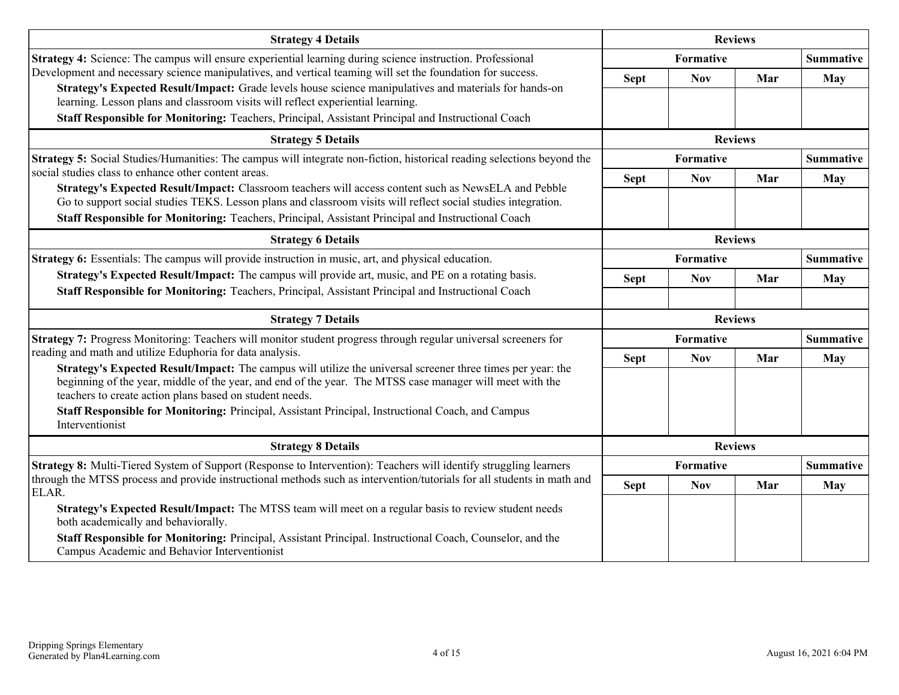| <b>Strategy 4 Details</b>                                                                                                                                                                                                                                                          |             | <b>Reviews</b>   |                |                  |
|------------------------------------------------------------------------------------------------------------------------------------------------------------------------------------------------------------------------------------------------------------------------------------|-------------|------------------|----------------|------------------|
| Strategy 4: Science: The campus will ensure experiential learning during science instruction. Professional                                                                                                                                                                         |             | Formative        |                | <b>Summative</b> |
| Development and necessary science manipulatives, and vertical teaming will set the foundation for success.                                                                                                                                                                         | <b>Sept</b> | <b>Nov</b>       | Mar            | <b>May</b>       |
| Strategy's Expected Result/Impact: Grade levels house science manipulatives and materials for hands-on<br>learning. Lesson plans and classroom visits will reflect experiential learning.                                                                                          |             |                  |                |                  |
| Staff Responsible for Monitoring: Teachers, Principal, Assistant Principal and Instructional Coach                                                                                                                                                                                 |             |                  |                |                  |
| <b>Strategy 5 Details</b>                                                                                                                                                                                                                                                          |             |                  | <b>Reviews</b> |                  |
| Strategy 5: Social Studies/Humanities: The campus will integrate non-fiction, historical reading selections beyond the                                                                                                                                                             | Formative   |                  |                | <b>Summative</b> |
| social studies class to enhance other content areas.                                                                                                                                                                                                                               | <b>Sept</b> | <b>Nov</b>       | Mar            | <b>May</b>       |
| Strategy's Expected Result/Impact: Classroom teachers will access content such as NewsELA and Pebble<br>Go to support social studies TEKS. Lesson plans and classroom visits will reflect social studies integration.                                                              |             |                  |                |                  |
| Staff Responsible for Monitoring: Teachers, Principal, Assistant Principal and Instructional Coach                                                                                                                                                                                 |             |                  |                |                  |
| <b>Strategy 6 Details</b>                                                                                                                                                                                                                                                          |             | <b>Reviews</b>   |                |                  |
| <b>Strategy 6:</b> Essentials: The campus will provide instruction in music, art, and physical education.                                                                                                                                                                          |             | Formative        |                | <b>Summative</b> |
| Strategy's Expected Result/Impact: The campus will provide art, music, and PE on a rotating basis.                                                                                                                                                                                 | <b>Sept</b> | <b>Nov</b>       | Mar            | <b>May</b>       |
| Staff Responsible for Monitoring: Teachers, Principal, Assistant Principal and Instructional Coach                                                                                                                                                                                 |             |                  |                |                  |
| <b>Strategy 7 Details</b>                                                                                                                                                                                                                                                          |             |                  | <b>Reviews</b> |                  |
| Strategy 7: Progress Monitoring: Teachers will monitor student progress through regular universal screeners for                                                                                                                                                                    |             | Formative        |                | <b>Summative</b> |
| reading and math and utilize Eduphoria for data analysis.                                                                                                                                                                                                                          | <b>Sept</b> | <b>Nov</b>       | Mar            | <b>May</b>       |
| Strategy's Expected Result/Impact: The campus will utilize the universal screener three times per year: the<br>beginning of the year, middle of the year, and end of the year. The MTSS case manager will meet with the<br>teachers to create action plans based on student needs. |             |                  |                |                  |
| Staff Responsible for Monitoring: Principal, Assistant Principal, Instructional Coach, and Campus<br>Interventionist                                                                                                                                                               |             |                  |                |                  |
| <b>Strategy 8 Details</b>                                                                                                                                                                                                                                                          |             |                  | <b>Reviews</b> |                  |
| <b>Strategy 8:</b> Multi-Tiered System of Support (Response to Intervention): Teachers will identify struggling learners                                                                                                                                                           |             | <b>Formative</b> |                | <b>Summative</b> |
| through the MTSS process and provide instructional methods such as intervention/tutorials for all students in math and<br>ELAR.                                                                                                                                                    | <b>Sept</b> | <b>Nov</b>       | Mar            | May              |
| Strategy's Expected Result/Impact: The MTSS team will meet on a regular basis to review student needs<br>both academically and behaviorally.                                                                                                                                       |             |                  |                |                  |
| Staff Responsible for Monitoring: Principal, Assistant Principal. Instructional Coach, Counselor, and the<br>Campus Academic and Behavior Interventionist                                                                                                                          |             |                  |                |                  |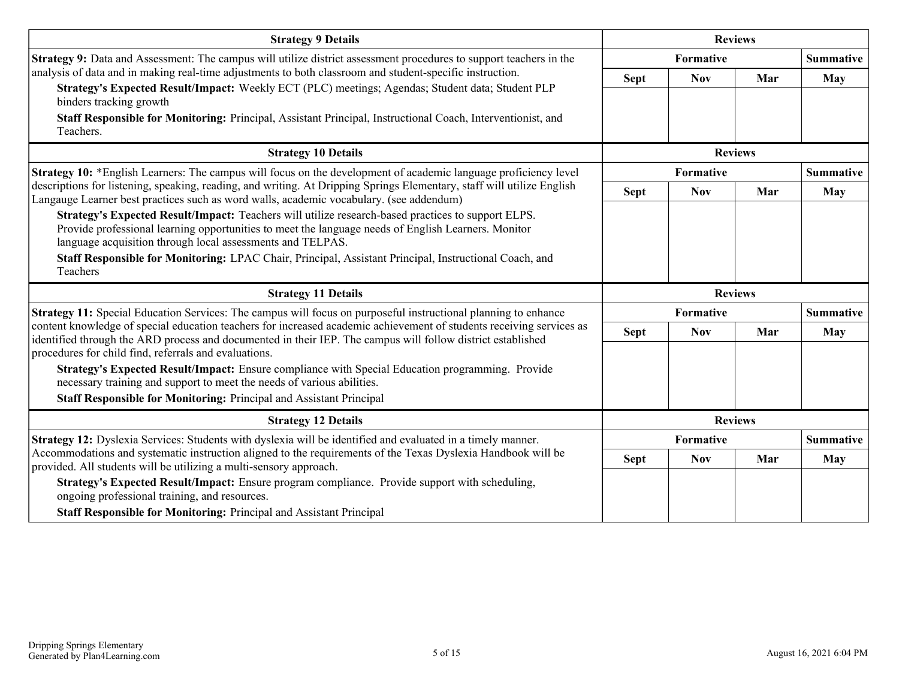| <b>Strategy 9 Details</b>                                                                                                                                                                                                                                               |                | <b>Reviews</b>   |                |                  |
|-------------------------------------------------------------------------------------------------------------------------------------------------------------------------------------------------------------------------------------------------------------------------|----------------|------------------|----------------|------------------|
| <b>Strategy 9:</b> Data and Assessment: The campus will utilize district assessment procedures to support teachers in the                                                                                                                                               |                | <b>Formative</b> |                | <b>Summative</b> |
| analysis of data and in making real-time adjustments to both classroom and student-specific instruction.                                                                                                                                                                | <b>Sept</b>    | <b>Nov</b>       | Mar            | <b>May</b>       |
| Strategy's Expected Result/Impact: Weekly ECT (PLC) meetings; Agendas; Student data; Student PLP<br>binders tracking growth                                                                                                                                             |                |                  |                |                  |
| Staff Responsible for Monitoring: Principal, Assistant Principal, Instructional Coach, Interventionist, and<br>Teachers.                                                                                                                                                |                |                  |                |                  |
| <b>Strategy 10 Details</b>                                                                                                                                                                                                                                              |                | <b>Reviews</b>   |                |                  |
| Strategy 10: *English Learners: The campus will focus on the development of academic language proficiency level                                                                                                                                                         |                | <b>Formative</b> |                | <b>Summative</b> |
| descriptions for listening, speaking, reading, and writing. At Dripping Springs Elementary, staff will utilize English<br>Langauge Learner best practices such as word walls, academic vocabulary. (see addendum)                                                       | <b>Sept</b>    | <b>Nov</b>       | Mar            | <b>May</b>       |
| Strategy's Expected Result/Impact: Teachers will utilize research-based practices to support ELPS.<br>Provide professional learning opportunities to meet the language needs of English Learners. Monitor<br>language acquisition through local assessments and TELPAS. |                |                  |                |                  |
| Staff Responsible for Monitoring: LPAC Chair, Principal, Assistant Principal, Instructional Coach, and<br>Teachers                                                                                                                                                      |                |                  |                |                  |
|                                                                                                                                                                                                                                                                         | <b>Reviews</b> |                  |                |                  |
| <b>Strategy 11 Details</b>                                                                                                                                                                                                                                              |                |                  |                |                  |
| Strategy 11: Special Education Services: The campus will focus on purposeful instructional planning to enhance                                                                                                                                                          |                | Formative        |                | <b>Summative</b> |
| content knowledge of special education teachers for increased academic achievement of students receiving services as<br>identified through the ARD process and documented in their IEP. The campus will follow district established                                     | <b>Sept</b>    | <b>Nov</b>       | Mar            | <b>May</b>       |
| procedures for child find, referrals and evaluations.<br>Strategy's Expected Result/Impact: Ensure compliance with Special Education programming. Provide<br>necessary training and support to meet the needs of various abilities.                                     |                |                  |                |                  |
| <b>Staff Responsible for Monitoring: Principal and Assistant Principal</b>                                                                                                                                                                                              |                |                  |                |                  |
| <b>Strategy 12 Details</b>                                                                                                                                                                                                                                              |                |                  | <b>Reviews</b> |                  |
| Strategy 12: Dyslexia Services: Students with dyslexia will be identified and evaluated in a timely manner.                                                                                                                                                             |                | Formative        |                | <b>Summative</b> |
| Accommodations and systematic instruction aligned to the requirements of the Texas Dyslexia Handbook will be<br>provided. All students will be utilizing a multi-sensory approach.                                                                                      | <b>Sept</b>    | <b>Nov</b>       | Mar            | <b>May</b>       |
| Strategy's Expected Result/Impact: Ensure program compliance. Provide support with scheduling,<br>ongoing professional training, and resources.                                                                                                                         |                |                  |                |                  |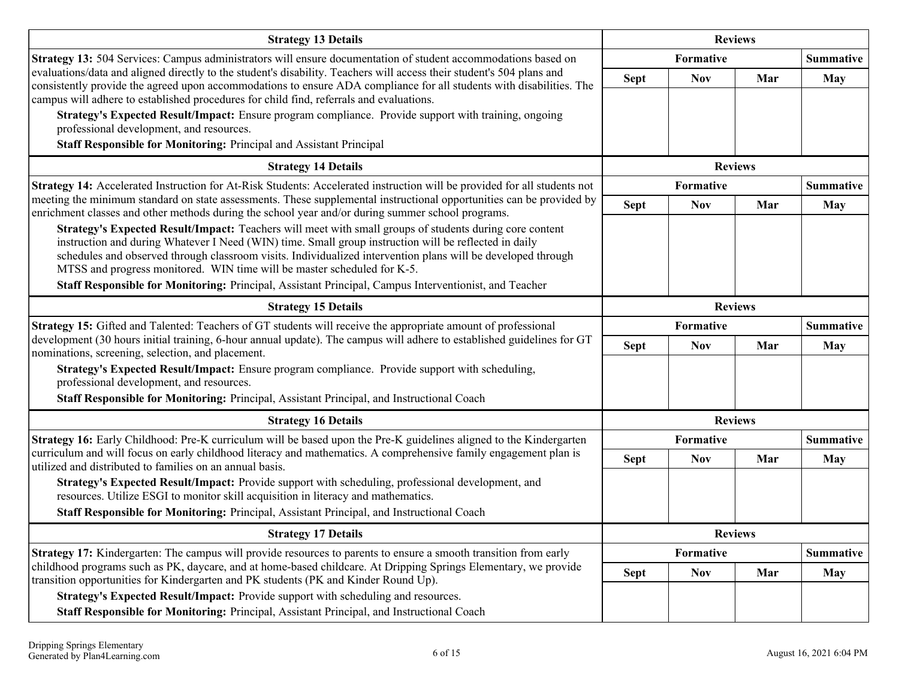| <b>Strategy 13 Details</b>                                                                                                                                                                                                                                                                                                                                                                                                                                                                                           | <b>Reviews</b> |                |                |                  |
|----------------------------------------------------------------------------------------------------------------------------------------------------------------------------------------------------------------------------------------------------------------------------------------------------------------------------------------------------------------------------------------------------------------------------------------------------------------------------------------------------------------------|----------------|----------------|----------------|------------------|
| Strategy 13: 504 Services: Campus administrators will ensure documentation of student accommodations based on                                                                                                                                                                                                                                                                                                                                                                                                        |                | Formative      |                | <b>Summative</b> |
| evaluations/data and aligned directly to the student's disability. Teachers will access their student's 504 plans and<br>consistently provide the agreed upon accommodations to ensure ADA compliance for all students with disabilities. The<br>campus will adhere to established procedures for child find, referrals and evaluations.                                                                                                                                                                             | <b>Sept</b>    | <b>Nov</b>     | Mar            | <b>May</b>       |
| Strategy's Expected Result/Impact: Ensure program compliance. Provide support with training, ongoing<br>professional development, and resources.                                                                                                                                                                                                                                                                                                                                                                     |                |                |                |                  |
| Staff Responsible for Monitoring: Principal and Assistant Principal                                                                                                                                                                                                                                                                                                                                                                                                                                                  |                |                |                |                  |
| <b>Strategy 14 Details</b>                                                                                                                                                                                                                                                                                                                                                                                                                                                                                           |                |                | <b>Reviews</b> |                  |
| Strategy 14: Accelerated Instruction for At-Risk Students: Accelerated instruction will be provided for all students not                                                                                                                                                                                                                                                                                                                                                                                             |                | Formative      |                | <b>Summative</b> |
| meeting the minimum standard on state assessments. These supplemental instructional opportunities can be provided by<br>enrichment classes and other methods during the school year and/or during summer school programs.                                                                                                                                                                                                                                                                                            | <b>Sept</b>    | <b>Nov</b>     | Mar            | <b>May</b>       |
| Strategy's Expected Result/Impact: Teachers will meet with small groups of students during core content<br>instruction and during Whatever I Need (WIN) time. Small group instruction will be reflected in daily<br>schedules and observed through classroom visits. Individualized intervention plans will be developed through<br>MTSS and progress monitored. WIN time will be master scheduled for K-5.<br>Staff Responsible for Monitoring: Principal, Assistant Principal, Campus Interventionist, and Teacher |                |                |                |                  |
| <b>Strategy 15 Details</b>                                                                                                                                                                                                                                                                                                                                                                                                                                                                                           |                | <b>Reviews</b> |                |                  |
| Strategy 15: Gifted and Talented: Teachers of GT students will receive the appropriate amount of professional                                                                                                                                                                                                                                                                                                                                                                                                        |                | Formative      |                | <b>Summative</b> |
| development (30 hours initial training, 6-hour annual update). The campus will adhere to established guidelines for GT<br>nominations, screening, selection, and placement.                                                                                                                                                                                                                                                                                                                                          | <b>Sept</b>    | <b>Nov</b>     | Mar            | <b>May</b>       |
| Strategy's Expected Result/Impact: Ensure program compliance. Provide support with scheduling,<br>professional development, and resources.                                                                                                                                                                                                                                                                                                                                                                           |                |                |                |                  |
| Staff Responsible for Monitoring: Principal, Assistant Principal, and Instructional Coach                                                                                                                                                                                                                                                                                                                                                                                                                            |                |                |                |                  |
| <b>Strategy 16 Details</b>                                                                                                                                                                                                                                                                                                                                                                                                                                                                                           |                |                | <b>Reviews</b> |                  |
| Strategy 16: Early Childhood: Pre-K curriculum will be based upon the Pre-K guidelines aligned to the Kindergarten                                                                                                                                                                                                                                                                                                                                                                                                   |                | Formative      |                | <b>Summative</b> |
| curriculum and will focus on early childhood literacy and mathematics. A comprehensive family engagement plan is<br>utilized and distributed to families on an annual basis.                                                                                                                                                                                                                                                                                                                                         | <b>Sept</b>    | <b>Nov</b>     | Mar            | <b>May</b>       |
| Strategy's Expected Result/Impact: Provide support with scheduling, professional development, and<br>resources. Utilize ESGI to monitor skill acquisition in literacy and mathematics.                                                                                                                                                                                                                                                                                                                               |                |                |                |                  |
| Staff Responsible for Monitoring: Principal, Assistant Principal, and Instructional Coach                                                                                                                                                                                                                                                                                                                                                                                                                            |                |                |                |                  |
| <b>Strategy 17 Details</b>                                                                                                                                                                                                                                                                                                                                                                                                                                                                                           |                |                | <b>Reviews</b> |                  |
| Strategy 17: Kindergarten: The campus will provide resources to parents to ensure a smooth transition from early                                                                                                                                                                                                                                                                                                                                                                                                     |                | Formative      |                | <b>Summative</b> |
| childhood programs such as PK, daycare, and at home-based childcare. At Dripping Springs Elementary, we provide<br>transition opportunities for Kindergarten and PK students (PK and Kinder Round Up).                                                                                                                                                                                                                                                                                                               | <b>Sept</b>    | <b>Nov</b>     | Mar            | May              |
| Strategy's Expected Result/Impact: Provide support with scheduling and resources.                                                                                                                                                                                                                                                                                                                                                                                                                                    |                |                |                |                  |
| Staff Responsible for Monitoring: Principal, Assistant Principal, and Instructional Coach                                                                                                                                                                                                                                                                                                                                                                                                                            |                |                |                |                  |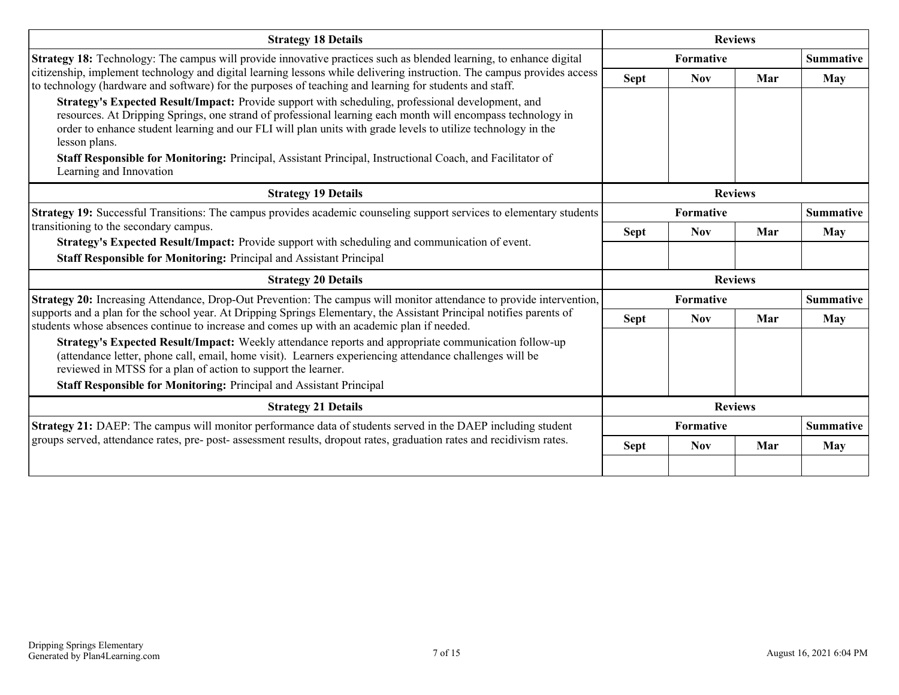| <b>Strategy 18 Details</b>                                                                                                                                                                                                                                                                                                                                                                                                                                                                |                  | <b>Reviews</b>   |                |                  |
|-------------------------------------------------------------------------------------------------------------------------------------------------------------------------------------------------------------------------------------------------------------------------------------------------------------------------------------------------------------------------------------------------------------------------------------------------------------------------------------------|------------------|------------------|----------------|------------------|
| <b>Strategy 18:</b> Technology: The campus will provide innovative practices such as blended learning, to enhance digital                                                                                                                                                                                                                                                                                                                                                                 |                  | <b>Formative</b> |                | <b>Summative</b> |
| citizenship, implement technology and digital learning lessons while delivering instruction. The campus provides access<br>to technology (hardware and software) for the purposes of teaching and learning for students and staff.                                                                                                                                                                                                                                                        | <b>Sept</b>      | <b>Nov</b>       | Mar            | May              |
| Strategy's Expected Result/Impact: Provide support with scheduling, professional development, and<br>resources. At Dripping Springs, one strand of professional learning each month will encompass technology in<br>order to enhance student learning and our FLI will plan units with grade levels to utilize technology in the<br>lesson plans.<br>Staff Responsible for Monitoring: Principal, Assistant Principal, Instructional Coach, and Facilitator of<br>Learning and Innovation |                  |                  |                |                  |
| <b>Strategy 19 Details</b>                                                                                                                                                                                                                                                                                                                                                                                                                                                                |                  |                  | <b>Reviews</b> |                  |
| Strategy 19: Successful Transitions: The campus provides academic counseling support services to elementary students                                                                                                                                                                                                                                                                                                                                                                      |                  | <b>Formative</b> |                | <b>Summative</b> |
| transitioning to the secondary campus.                                                                                                                                                                                                                                                                                                                                                                                                                                                    | <b>Sept</b>      | <b>Nov</b>       | Mar            | <b>May</b>       |
| Strategy's Expected Result/Impact: Provide support with scheduling and communication of event.<br>Staff Responsible for Monitoring: Principal and Assistant Principal                                                                                                                                                                                                                                                                                                                     |                  |                  |                |                  |
| <b>Strategy 20 Details</b>                                                                                                                                                                                                                                                                                                                                                                                                                                                                |                  |                  | <b>Reviews</b> |                  |
| Strategy 20: Increasing Attendance, Drop-Out Prevention: The campus will monitor attendance to provide intervention,                                                                                                                                                                                                                                                                                                                                                                      | <b>Formative</b> |                  |                | <b>Summative</b> |
| supports and a plan for the school year. At Dripping Springs Elementary, the Assistant Principal notifies parents of<br>students whose absences continue to increase and comes up with an academic plan if needed.                                                                                                                                                                                                                                                                        | <b>Sept</b>      | <b>Nov</b>       | Mar            | <b>May</b>       |
| Strategy's Expected Result/Impact: Weekly attendance reports and appropriate communication follow-up<br>(attendance letter, phone call, email, home visit). Learners experiencing attendance challenges will be<br>reviewed in MTSS for a plan of action to support the learner.<br>Staff Responsible for Monitoring: Principal and Assistant Principal                                                                                                                                   |                  |                  |                |                  |
| <b>Strategy 21 Details</b>                                                                                                                                                                                                                                                                                                                                                                                                                                                                |                  |                  | <b>Reviews</b> |                  |
| Strategy 21: DAEP: The campus will monitor performance data of students served in the DAEP including student                                                                                                                                                                                                                                                                                                                                                                              |                  | Formative        |                | <b>Summative</b> |
| groups served, attendance rates, pre- post- assessment results, dropout rates, graduation rates and recidivism rates.                                                                                                                                                                                                                                                                                                                                                                     | <b>Sept</b>      | <b>Nov</b>       | Mar            | May              |
|                                                                                                                                                                                                                                                                                                                                                                                                                                                                                           |                  |                  |                |                  |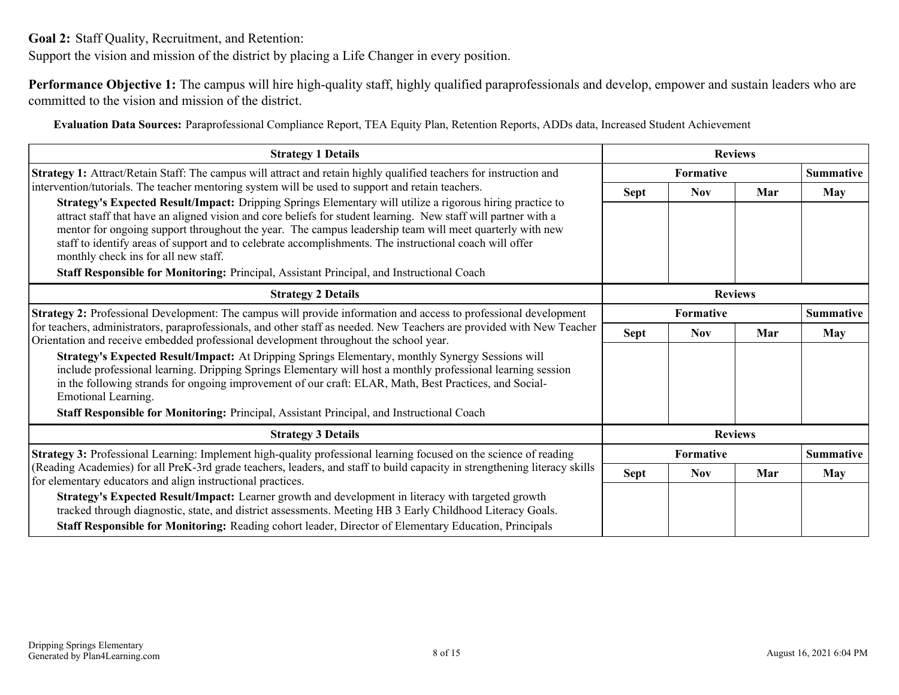<span id="page-7-0"></span>**Goal 2:** Staff Quality, Recruitment, and Retention:

Support the vision and mission of the district by placing a Life Changer in every position.

**Performance Objective 1:** The campus will hire high-quality staff, highly qualified paraprofessionals and develop, empower and sustain leaders who are committed to the vision and mission of the district.

**Evaluation Data Sources:** Paraprofessional Compliance Report, TEA Equity Plan, Retention Reports, ADDs data, Increased Student Achievement

| <b>Strategy 1 Details</b>                                                                                                                                                                                                                                                                                                                                                                                                                                                                                                                                                              |                                      | <b>Reviews</b>   |     |                  |
|----------------------------------------------------------------------------------------------------------------------------------------------------------------------------------------------------------------------------------------------------------------------------------------------------------------------------------------------------------------------------------------------------------------------------------------------------------------------------------------------------------------------------------------------------------------------------------------|--------------------------------------|------------------|-----|------------------|
| Strategy 1: Attract/Retain Staff: The campus will attract and retain highly qualified teachers for instruction and                                                                                                                                                                                                                                                                                                                                                                                                                                                                     |                                      | <b>Formative</b> |     | <b>Summative</b> |
| intervention/tutorials. The teacher mentoring system will be used to support and retain teachers.                                                                                                                                                                                                                                                                                                                                                                                                                                                                                      | <b>Sept</b>                          | <b>Nov</b>       | Mar | <b>May</b>       |
| Strategy's Expected Result/Impact: Dripping Springs Elementary will utilize a rigorous hiring practice to<br>attract staff that have an aligned vision and core beliefs for student learning. New staff will partner with a<br>mentor for ongoing support throughout the year. The campus leadership team will meet quarterly with new<br>staff to identify areas of support and to celebrate accomplishments. The instructional coach will offer<br>monthly check ins for all new staff.<br>Staff Responsible for Monitoring: Principal, Assistant Principal, and Instructional Coach |                                      |                  |     |                  |
| <b>Strategy 2 Details</b>                                                                                                                                                                                                                                                                                                                                                                                                                                                                                                                                                              | <b>Reviews</b>                       |                  |     |                  |
| <b>Strategy 2:</b> Professional Development: The campus will provide information and access to professional development<br>for teachers, administrators, paraprofessionals, and other staff as needed. New Teachers are provided with New Teacher<br>Orientation and receive embedded professional development throughout the school year.                                                                                                                                                                                                                                             | <b>Formative</b><br><b>Summative</b> |                  |     |                  |
|                                                                                                                                                                                                                                                                                                                                                                                                                                                                                                                                                                                        | <b>Sept</b>                          | <b>Nov</b>       | Mar | <b>May</b>       |
| Strategy's Expected Result/Impact: At Dripping Springs Elementary, monthly Synergy Sessions will<br>include professional learning. Dripping Springs Elementary will host a monthly professional learning session<br>in the following strands for ongoing improvement of our craft: ELAR, Math, Best Practices, and Social-<br>Emotional Learning.                                                                                                                                                                                                                                      |                                      |                  |     |                  |
| Staff Responsible for Monitoring: Principal, Assistant Principal, and Instructional Coach                                                                                                                                                                                                                                                                                                                                                                                                                                                                                              |                                      |                  |     |                  |
| <b>Strategy 3 Details</b>                                                                                                                                                                                                                                                                                                                                                                                                                                                                                                                                                              |                                      | <b>Reviews</b>   |     |                  |
| Strategy 3: Professional Learning: Implement high-quality professional learning focused on the science of reading                                                                                                                                                                                                                                                                                                                                                                                                                                                                      |                                      | Formative        |     | <b>Summative</b> |
| (Reading Academies) for all PreK-3rd grade teachers, leaders, and staff to build capacity in strengthening literacy skills<br>for elementary educators and align instructional practices.                                                                                                                                                                                                                                                                                                                                                                                              | <b>Sept</b>                          | <b>Nov</b>       | Mar | <b>May</b>       |
| Strategy's Expected Result/Impact: Learner growth and development in literacy with targeted growth<br>tracked through diagnostic, state, and district assessments. Meeting HB 3 Early Childhood Literacy Goals.                                                                                                                                                                                                                                                                                                                                                                        |                                      |                  |     |                  |
| Staff Responsible for Monitoring: Reading cohort leader, Director of Elementary Education, Principals                                                                                                                                                                                                                                                                                                                                                                                                                                                                                  |                                      |                  |     |                  |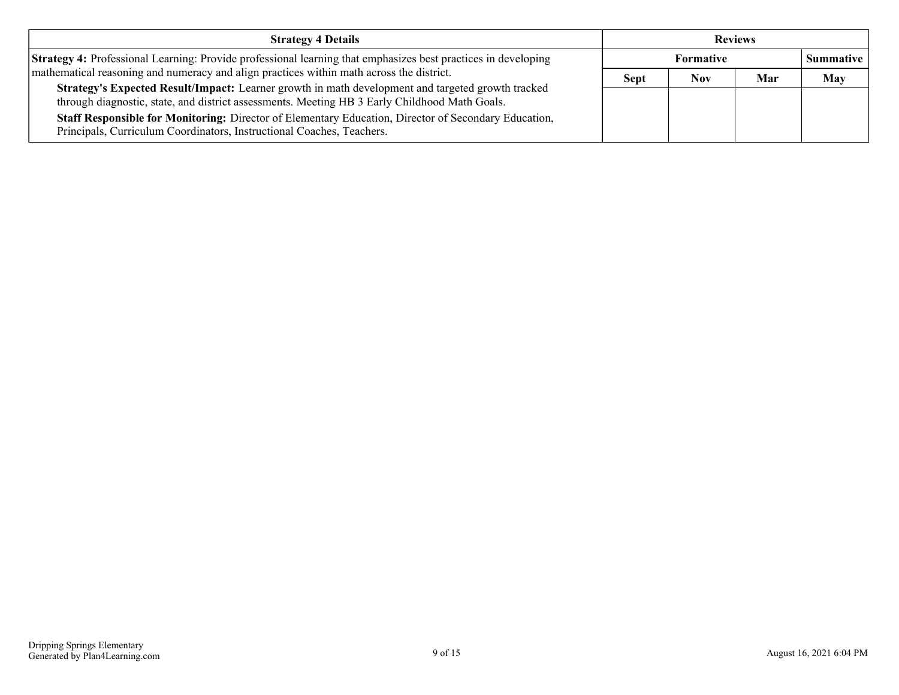| <b>Strategy 4 Details</b>                                                                                                                                                                          | <b>Reviews</b> |                  |     |                  |
|----------------------------------------------------------------------------------------------------------------------------------------------------------------------------------------------------|----------------|------------------|-----|------------------|
| <b>Strategy 4:</b> Professional Learning: Provide professional learning that emphasizes best practices in developing                                                                               |                | <b>Formative</b> |     | <b>Summative</b> |
| mathematical reasoning and numeracy and align practices within math across the district.                                                                                                           | <b>Sept</b>    | Nov              | Mar | <b>May</b>       |
| Strategy's Expected Result/Impact: Learner growth in math development and targeted growth tracked<br>through diagnostic, state, and district assessments. Meeting HB 3 Early Childhood Math Goals. |                |                  |     |                  |
| <b>Staff Responsible for Monitoring:</b> Director of Elementary Education, Director of Secondary Education,<br>Principals, Curriculum Coordinators, Instructional Coaches, Teachers.               |                |                  |     |                  |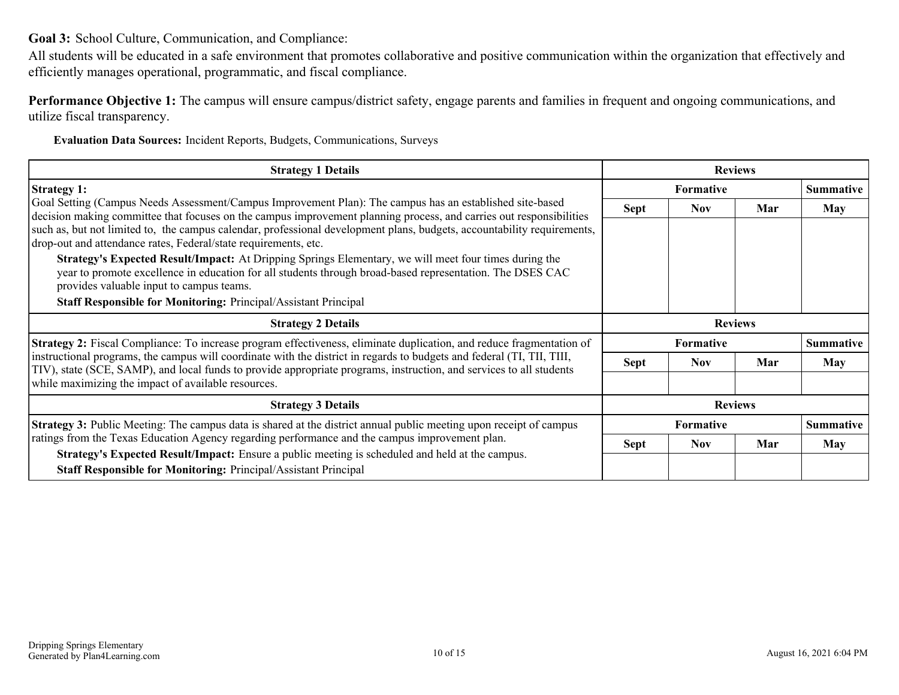<span id="page-9-0"></span>**Goal 3:** School Culture, Communication, and Compliance:

All students will be educated in a safe environment that promotes collaborative and positive communication within the organization that effectively and efficiently manages operational, programmatic, and fiscal compliance.

**Performance Objective 1:** The campus will ensure campus/district safety, engage parents and families in frequent and ongoing communications, and utilize fiscal transparency.

**Evaluation Data Sources:** Incident Reports, Budgets, Communications, Surveys

| <b>Strategy 1 Details</b>                                                                                                                                                                                                                                                                                                                                                                                                                                                                                                                                                                                                                                                                                                                                                 | <b>Reviews</b>   |                  |                |                  |
|---------------------------------------------------------------------------------------------------------------------------------------------------------------------------------------------------------------------------------------------------------------------------------------------------------------------------------------------------------------------------------------------------------------------------------------------------------------------------------------------------------------------------------------------------------------------------------------------------------------------------------------------------------------------------------------------------------------------------------------------------------------------------|------------------|------------------|----------------|------------------|
| <b>Strategy 1:</b>                                                                                                                                                                                                                                                                                                                                                                                                                                                                                                                                                                                                                                                                                                                                                        | <b>Formative</b> |                  |                | <b>Summative</b> |
| Goal Setting (Campus Needs Assessment/Campus Improvement Plan): The campus has an established site-based<br>decision making committee that focuses on the campus improvement planning process, and carries out responsibilities<br>such as, but not limited to, the campus calendar, professional development plans, budgets, accountability requirements,<br>drop-out and attendance rates, Federal/state requirements, etc.<br>Strategy's Expected Result/Impact: At Dripping Springs Elementary, we will meet four times during the<br>year to promote excellence in education for all students through broad-based representation. The DSES CAC<br>provides valuable input to campus teams.<br><b>Staff Responsible for Monitoring: Principal/Assistant Principal</b> | <b>Sept</b>      | <b>Nov</b>       | Mar            | May              |
| <b>Strategy 2 Details</b>                                                                                                                                                                                                                                                                                                                                                                                                                                                                                                                                                                                                                                                                                                                                                 |                  |                  | <b>Reviews</b> |                  |
| <b>Strategy 2:</b> Fiscal Compliance: To increase program effectiveness, eliminate duplication, and reduce fragmentation of                                                                                                                                                                                                                                                                                                                                                                                                                                                                                                                                                                                                                                               | <b>Formative</b> |                  |                | <b>Summative</b> |
| instructional programs, the campus will coordinate with the district in regards to budgets and federal (TI, TII, TIII,<br>TIV), state (SCE, SAMP), and local funds to provide appropriate programs, instruction, and services to all students                                                                                                                                                                                                                                                                                                                                                                                                                                                                                                                             | <b>Sept</b>      | <b>Nov</b>       | Mar            | May              |
| while maximizing the impact of available resources.                                                                                                                                                                                                                                                                                                                                                                                                                                                                                                                                                                                                                                                                                                                       |                  |                  |                |                  |
| <b>Strategy 3 Details</b>                                                                                                                                                                                                                                                                                                                                                                                                                                                                                                                                                                                                                                                                                                                                                 |                  |                  | <b>Reviews</b> |                  |
| <b>Strategy 3:</b> Public Meeting: The campus data is shared at the district annual public meeting upon receipt of campus                                                                                                                                                                                                                                                                                                                                                                                                                                                                                                                                                                                                                                                 |                  | <b>Formative</b> |                | <b>Summative</b> |
| ratings from the Texas Education Agency regarding performance and the campus improvement plan.<br>Strategy's Expected Result/Impact: Ensure a public meeting is scheduled and held at the campus.                                                                                                                                                                                                                                                                                                                                                                                                                                                                                                                                                                         | <b>Sept</b>      | <b>Nov</b>       | Mar            | May              |
| <b>Staff Responsible for Monitoring: Principal/Assistant Principal</b>                                                                                                                                                                                                                                                                                                                                                                                                                                                                                                                                                                                                                                                                                                    |                  |                  |                |                  |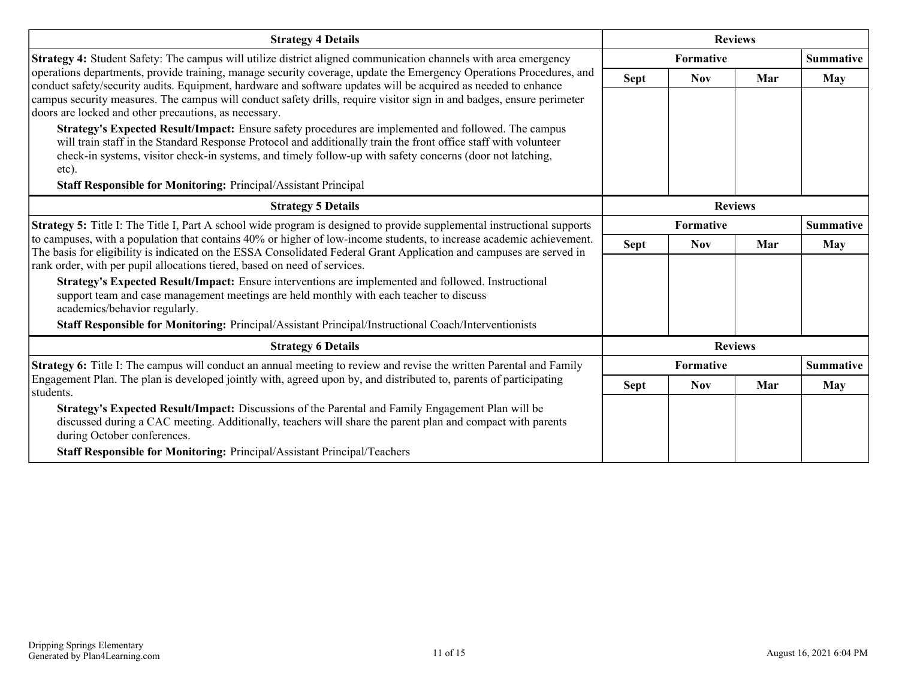| <b>Strategy 4 Details</b>                                                                                                                                                                                                             |             | <b>Reviews</b>   |                |                  |
|---------------------------------------------------------------------------------------------------------------------------------------------------------------------------------------------------------------------------------------|-------------|------------------|----------------|------------------|
| Strategy 4: Student Safety: The campus will utilize district aligned communication channels with area emergency                                                                                                                       |             | <b>Formative</b> |                | <b>Summative</b> |
| operations departments, provide training, manage security coverage, update the Emergency Operations Procedures, and<br>conduct safety/security audits. Equipment, hardware and software updates will be acquired as needed to enhance | <b>Sept</b> | <b>Nov</b>       | Mar            | <b>May</b>       |
| campus security measures. The campus will conduct safety drills, require visitor sign in and badges, ensure perimeter                                                                                                                 |             |                  |                |                  |
| doors are locked and other precautions, as necessary.                                                                                                                                                                                 |             |                  |                |                  |
| Strategy's Expected Result/Impact: Ensure safety procedures are implemented and followed. The campus<br>will train staff in the Standard Response Protocol and additionally train the front office staff with volunteer               |             |                  |                |                  |
| check-in systems, visitor check-in systems, and timely follow-up with safety concerns (door not latching,                                                                                                                             |             |                  |                |                  |
| etc).                                                                                                                                                                                                                                 |             |                  |                |                  |
| <b>Staff Responsible for Monitoring: Principal/Assistant Principal</b>                                                                                                                                                                |             |                  |                |                  |
| <b>Strategy 5 Details</b>                                                                                                                                                                                                             |             |                  | <b>Reviews</b> |                  |
| Strategy 5: Title I: The Title I, Part A school wide program is designed to provide supplemental instructional supports                                                                                                               |             | <b>Formative</b> |                | <b>Summative</b> |
| to campuses, with a population that contains 40% or higher of low-income students, to increase academic achievement.                                                                                                                  | <b>Sept</b> | <b>Nov</b>       | Mar            | May              |
| The basis for eligibility is indicated on the ESSA Consolidated Federal Grant Application and campuses are served in<br>rank order, with per pupil allocations tiered, based on need of services.                                     |             |                  |                |                  |
| Strategy's Expected Result/Impact: Ensure interventions are implemented and followed. Instructional                                                                                                                                   |             |                  |                |                  |
| support team and case management meetings are held monthly with each teacher to discuss<br>academics/behavior regularly.                                                                                                              |             |                  |                |                  |
| <b>Staff Responsible for Monitoring:</b> Principal/Assistant Principal/Instructional Coach/Interventionists                                                                                                                           |             |                  |                |                  |
|                                                                                                                                                                                                                                       |             |                  |                |                  |
| <b>Strategy 6 Details</b>                                                                                                                                                                                                             |             |                  | <b>Reviews</b> |                  |
| <b>Strategy 6:</b> Title I: The campus will conduct an annual meeting to review and revise the written Parental and Family                                                                                                            |             | <b>Formative</b> |                | <b>Summative</b> |
| Engagement Plan. The plan is developed jointly with, agreed upon by, and distributed to, parents of participating<br>students.                                                                                                        | <b>Sept</b> | <b>Nov</b>       | Mar            | <b>May</b>       |
| Strategy's Expected Result/Impact: Discussions of the Parental and Family Engagement Plan will be                                                                                                                                     |             |                  |                |                  |
| discussed during a CAC meeting. Additionally, teachers will share the parent plan and compact with parents<br>during October conferences.                                                                                             |             |                  |                |                  |
| <b>Staff Responsible for Monitoring: Principal/Assistant Principal/Teachers</b>                                                                                                                                                       |             |                  |                |                  |
|                                                                                                                                                                                                                                       |             |                  |                |                  |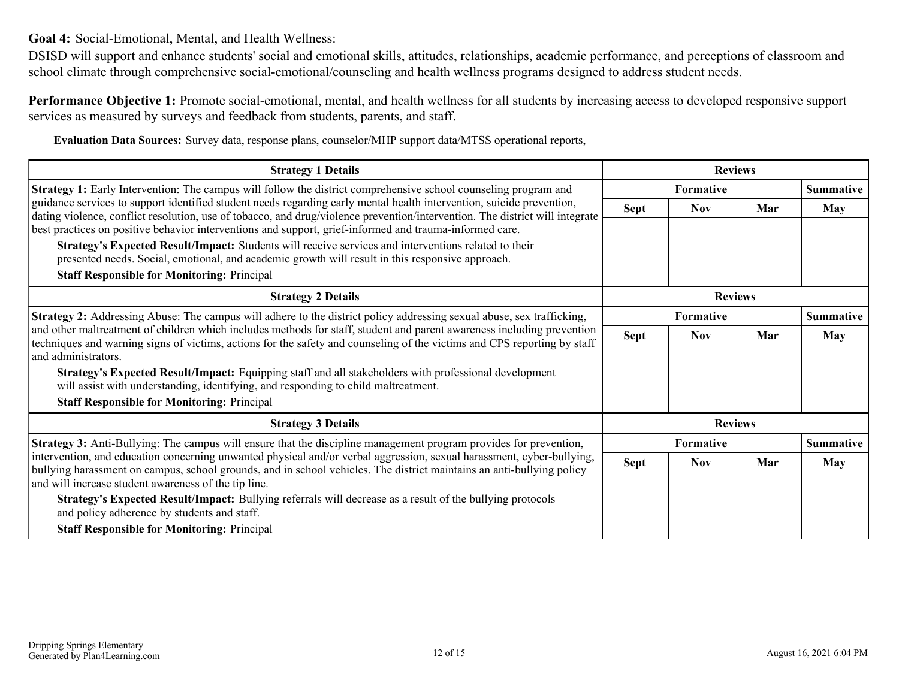<span id="page-11-0"></span>**Goal 4:** Social-Emotional, Mental, and Health Wellness:

DSISD will support and enhance students' social and emotional skills, attitudes, relationships, academic performance, and perceptions of classroom and school climate through comprehensive social-emotional/counseling and health wellness programs designed to address student needs.

**Performance Objective 1:** Promote social-emotional, mental, and health wellness for all students by increasing access to developed responsive support services as measured by surveys and feedback from students, parents, and staff.

**Evaluation Data Sources:** Survey data, response plans, counselor/MHP support data/MTSS operational reports,

| <b>Strategy 1 Details</b>                                                                                                                                                                                                                                                 |             | <b>Reviews</b> |     |                  |
|---------------------------------------------------------------------------------------------------------------------------------------------------------------------------------------------------------------------------------------------------------------------------|-------------|----------------|-----|------------------|
| <b>Strategy 1:</b> Early Intervention: The campus will follow the district comprehensive school counseling program and                                                                                                                                                    |             | Formative      |     | <b>Summative</b> |
| guidance services to support identified student needs regarding early mental health intervention, suicide prevention,<br>dating violence, conflict resolution, use of tobacco, and drug/violence prevention/intervention. The district will integrate                     | <b>Sept</b> | <b>Nov</b>     | Mar | <b>May</b>       |
| best practices on positive behavior interventions and support, grief-informed and trauma-informed care.                                                                                                                                                                   |             |                |     |                  |
| Strategy's Expected Result/Impact: Students will receive services and interventions related to their                                                                                                                                                                      |             |                |     |                  |
| presented needs. Social, emotional, and academic growth will result in this responsive approach.                                                                                                                                                                          |             |                |     |                  |
| <b>Staff Responsible for Monitoring: Principal</b>                                                                                                                                                                                                                        |             |                |     |                  |
| <b>Strategy 2 Details</b>                                                                                                                                                                                                                                                 |             | <b>Reviews</b> |     |                  |
| <b>Strategy 2:</b> Addressing Abuse: The campus will adhere to the district policy addressing sexual abuse, sex trafficking,                                                                                                                                              |             | Formative      |     | <b>Summative</b> |
| and other maltreatment of children which includes methods for staff, student and parent awareness including prevention<br>techniques and warning signs of victims, actions for the safety and counseling of the victims and CPS reporting by staff<br>and administrators. | <b>Sept</b> | <b>Nov</b>     | Mar | <b>May</b>       |
|                                                                                                                                                                                                                                                                           |             |                |     |                  |
| Strategy's Expected Result/Impact: Equipping staff and all stakeholders with professional development<br>will assist with understanding, identifying, and responding to child maltreatment.                                                                               |             |                |     |                  |
| <b>Staff Responsible for Monitoring: Principal</b>                                                                                                                                                                                                                        |             |                |     |                  |
| <b>Strategy 3 Details</b>                                                                                                                                                                                                                                                 |             | <b>Reviews</b> |     |                  |
| Strategy 3: Anti-Bullying: The campus will ensure that the discipline management program provides for prevention,                                                                                                                                                         |             | Formative      |     | <b>Summative</b> |
| intervention, and education concerning unwanted physical and/or verbal aggression, sexual harassment, cyber-bullying,                                                                                                                                                     | <b>Sept</b> | <b>Nov</b>     | Mar | <b>May</b>       |
| bullying harassment on campus, school grounds, and in school vehicles. The district maintains an anti-bullying policy<br>and will increase student awareness of the tip line.                                                                                             |             |                |     |                  |
| <b>Strategy's Expected Result/Impact:</b> Bullying referrals will decrease as a result of the bullying protocols<br>and policy adherence by students and staff.                                                                                                           |             |                |     |                  |
| <b>Staff Responsible for Monitoring: Principal</b>                                                                                                                                                                                                                        |             |                |     |                  |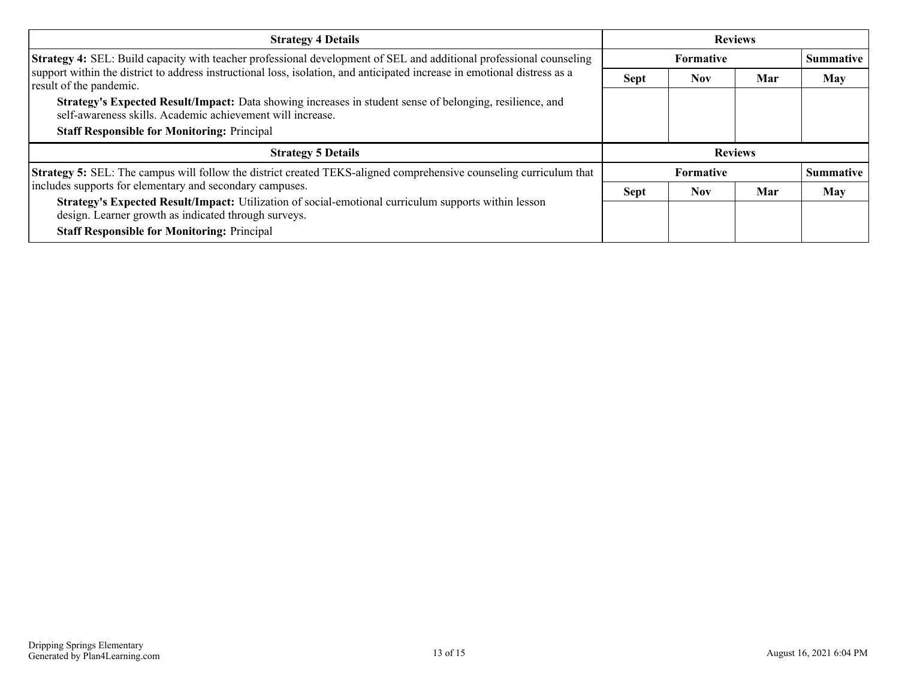| <b>Strategy 4 Details</b>                                                                                                                                              | <b>Reviews</b>   |            |     |                  |
|------------------------------------------------------------------------------------------------------------------------------------------------------------------------|------------------|------------|-----|------------------|
| Strategy 4: SEL: Build capacity with teacher professional development of SEL and additional professional counseling                                                    |                  | Summative  |     |                  |
| support within the district to address instructional loss, isolation, and anticipated increase in emotional distress as a<br>result of the pandemic.                   | <b>Sept</b>      | <b>Nov</b> | Mar | <b>May</b>       |
| Strategy's Expected Result/Impact: Data showing increases in student sense of belonging, resilience, and<br>self-awareness skills. Academic achievement will increase. |                  |            |     |                  |
| <b>Staff Responsible for Monitoring: Principal</b>                                                                                                                     |                  |            |     |                  |
| <b>Strategy 5 Details</b>                                                                                                                                              | <b>Reviews</b>   |            |     |                  |
| <b>Strategy 5:</b> SEL: The campus will follow the district created TEKS-aligned comprehensive counseling curriculum that                                              | <b>Formative</b> |            |     | <b>Summative</b> |
| includes supports for elementary and secondary campuses.                                                                                                               | <b>Sept</b>      | <b>Nov</b> | Mar | <b>May</b>       |
| Strategy's Expected Result/Impact: Utilization of social-emotional curriculum supports within lesson<br>design. Learner growth as indicated through surveys.           |                  |            |     |                  |
| <b>Staff Responsible for Monitoring: Principal</b>                                                                                                                     |                  |            |     |                  |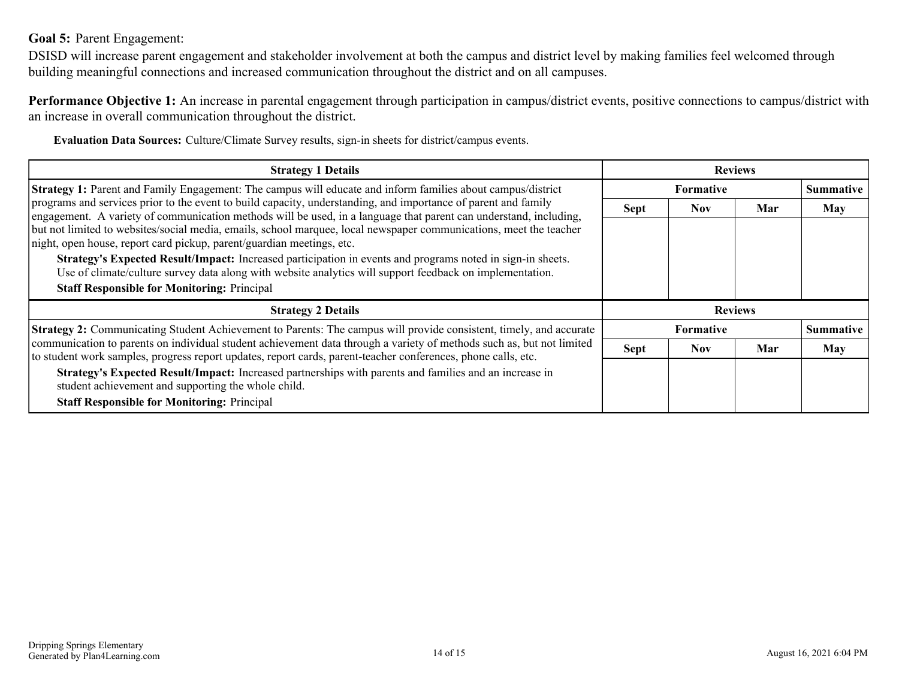### <span id="page-13-0"></span>**Goal 5:** Parent Engagement:

DSISD will increase parent engagement and stakeholder involvement at both the campus and district level by making families feel welcomed through building meaningful connections and increased communication throughout the district and on all campuses.

**Performance Objective 1:** An increase in parental engagement through participation in campus/district events, positive connections to campus/district with an increase in overall communication throughout the district.

**Evaluation Data Sources:** Culture/Climate Survey results, sign-in sheets for district/campus events.

| <b>Strategy 1 Details</b>                                                                                                                                                                                                                                                                                                                                                                                                                                                                                                                         | <b>Reviews</b>   |            |     |                  |
|---------------------------------------------------------------------------------------------------------------------------------------------------------------------------------------------------------------------------------------------------------------------------------------------------------------------------------------------------------------------------------------------------------------------------------------------------------------------------------------------------------------------------------------------------|------------------|------------|-----|------------------|
| Strategy 1: Parent and Family Engagement: The campus will educate and inform families about campus/district<br>programs and services prior to the event to build capacity, understanding, and importance of parent and family<br>engagement. A variety of communication methods will be used, in a language that parent can understand, including,<br>but not limited to websites/social media, emails, school marquee, local newspaper communications, meet the teacher<br>night, open house, report card pickup, parent/guardian meetings, etc. | <b>Formative</b> |            |     | <b>Summative</b> |
|                                                                                                                                                                                                                                                                                                                                                                                                                                                                                                                                                   | <b>Sept</b>      | <b>Nov</b> | Mar | May              |
|                                                                                                                                                                                                                                                                                                                                                                                                                                                                                                                                                   |                  |            |     |                  |
| Strategy's Expected Result/Impact: Increased participation in events and programs noted in sign-in sheets.<br>Use of climate/culture survey data along with website analytics will support feedback on implementation.                                                                                                                                                                                                                                                                                                                            |                  |            |     |                  |
| <b>Staff Responsible for Monitoring: Principal</b>                                                                                                                                                                                                                                                                                                                                                                                                                                                                                                |                  |            |     |                  |
| <b>Strategy 2 Details</b>                                                                                                                                                                                                                                                                                                                                                                                                                                                                                                                         | <b>Reviews</b>   |            |     |                  |
| Strategy 2: Communicating Student Achievement to Parents: The campus will provide consistent, timely, and accurate<br>communication to parents on individual student achievement data through a variety of methods such as, but not limited<br>to student work samples, progress report updates, report cards, parent-teacher conferences, phone calls, etc.                                                                                                                                                                                      | Formative        |            |     | <b>Summative</b> |
|                                                                                                                                                                                                                                                                                                                                                                                                                                                                                                                                                   | <b>Sept</b>      | <b>Nov</b> | Mar | May              |
| Strategy's Expected Result/Impact: Increased partnerships with parents and families and an increase in<br>student achievement and supporting the whole child.                                                                                                                                                                                                                                                                                                                                                                                     |                  |            |     |                  |
| <b>Staff Responsible for Monitoring: Principal</b>                                                                                                                                                                                                                                                                                                                                                                                                                                                                                                |                  |            |     |                  |